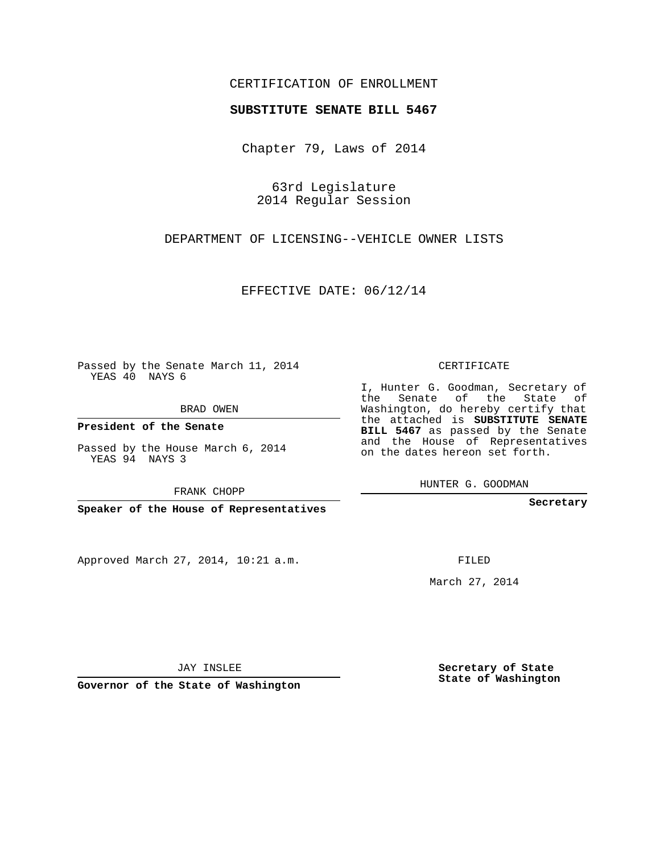## CERTIFICATION OF ENROLLMENT

## **SUBSTITUTE SENATE BILL 5467**

Chapter 79, Laws of 2014

63rd Legislature 2014 Regular Session

DEPARTMENT OF LICENSING--VEHICLE OWNER LISTS

EFFECTIVE DATE: 06/12/14

Passed by the Senate March 11, 2014 YEAS 40 NAYS 6

BRAD OWEN

**President of the Senate**

Passed by the House March 6, 2014 YEAS 94 NAYS 3

FRANK CHOPP

**Speaker of the House of Representatives**

Approved March 27, 2014, 10:21 a.m.

CERTIFICATE

I, Hunter G. Goodman, Secretary of the Senate of the State of Washington, do hereby certify that the attached is **SUBSTITUTE SENATE BILL 5467** as passed by the Senate and the House of Representatives on the dates hereon set forth.

HUNTER G. GOODMAN

**Secretary**

FILED

March 27, 2014

**Secretary of State State of Washington**

JAY INSLEE

**Governor of the State of Washington**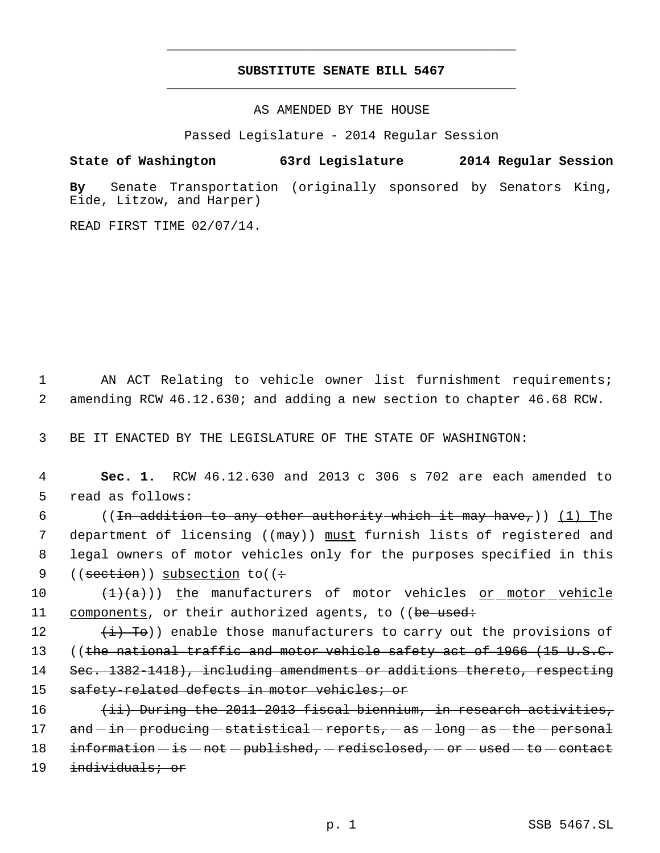## **SUBSTITUTE SENATE BILL 5467** \_\_\_\_\_\_\_\_\_\_\_\_\_\_\_\_\_\_\_\_\_\_\_\_\_\_\_\_\_\_\_\_\_\_\_\_\_\_\_\_\_\_\_\_\_

\_\_\_\_\_\_\_\_\_\_\_\_\_\_\_\_\_\_\_\_\_\_\_\_\_\_\_\_\_\_\_\_\_\_\_\_\_\_\_\_\_\_\_\_\_

AS AMENDED BY THE HOUSE

Passed Legislature - 2014 Regular Session

## **State of Washington 63rd Legislature 2014 Regular Session**

**By** Senate Transportation (originally sponsored by Senators King, Eide, Litzow, and Harper)

READ FIRST TIME 02/07/14.

 1 AN ACT Relating to vehicle owner list furnishment requirements; 2 amending RCW 46.12.630; and adding a new section to chapter 46.68 RCW.

3 BE IT ENACTED BY THE LEGISLATURE OF THE STATE OF WASHINGTON:

 4 **Sec. 1.** RCW 46.12.630 and 2013 c 306 s 702 are each amended to 5 read as follows:

6 ((In addition to any other authority which it may have,)) (1) The 7 department of licensing ((<del>may</del>)) <u>must</u> furnish lists of registered and 8 legal owners of motor vehicles only for the purposes specified in this 9 (( $\text{section}$ )) subsection to(( $\div$ 

10  $(\frac{1}{(a)})$  the manufacturers of motor vehicles or motor vehicle 11 components, or their authorized agents, to ((be used:

12  $(i)$  To)) enable those manufacturers to carry out the provisions of 13 ((the national traffic and motor vehicle safety act of 1966 (15 U.S.C. 14 Sec. 1382-1418), including amendments or additions thereto, respecting 15 safety-related defects in motor vehicles; or

16 (ii) During the 2011-2013 fiscal biennium, in research activities,  $17$  and  $-$  in  $-$  producing  $-$  statistical  $-$  reports,  $-$  as  $-$  long  $-$  as  $-$  the  $-$  personal 18 information  $-$  is  $-$  not  $-$  published,  $-$  redisclosed,  $-$  or  $-$  used  $-$  to  $-$  contact 19 individuals; or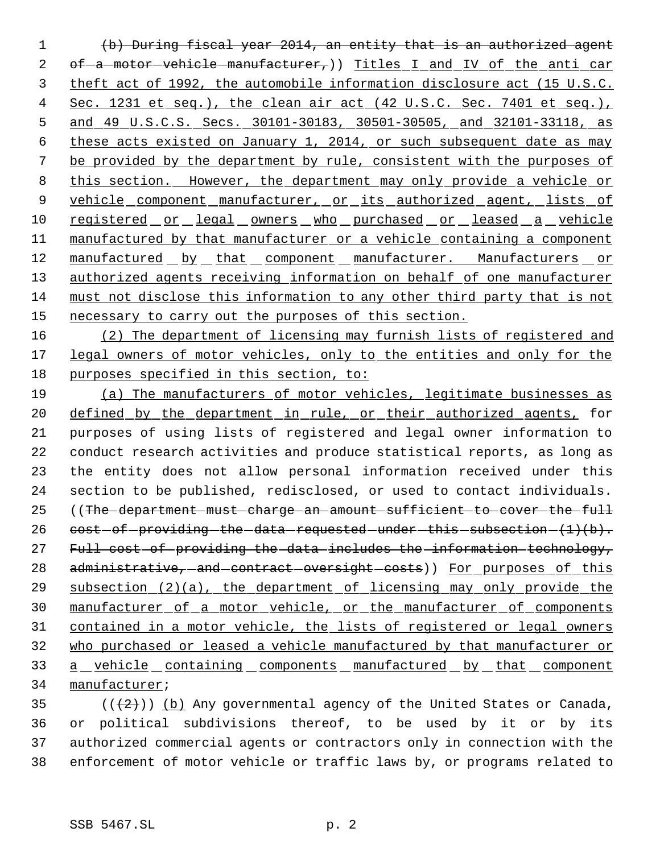(b) During fiscal year 2014, an entity that is an authorized agent 2 of-a-motor-vehicle-manufacturer,)) Titles I and IV of the anti car theft act of 1992, the automobile information disclosure act (15 U.S.C. 4 Sec. 1231 et seq.), the clean air act (42 U.S.C. Sec. 7401 et seq.), and 49 U.S.C.S. Secs. 30101-30183, 30501-30505, and 32101-33118, as these acts existed on January 1, 2014, or such subsequent date as may be provided by the department by rule, consistent with the purposes of 8 this section. However, the department may only provide a vehicle or 9 vehicle component manufacturer, or its authorized agent, lists of 10 registered or legal owners who purchased or leased a vehicle manufactured by that manufacturer or a vehicle containing a component 12 manufactured by that component manufacturer. Manufacturers or 13 authorized agents receiving information on behalf of one manufacturer must not disclose this information to any other third party that is not 15 necessary to carry out the purposes of this section.

 (2) The department of licensing may furnish lists of registered and legal owners of motor vehicles, only to the entities and only for the purposes specified in this section, to:

 (a) The manufacturers of motor vehicles, legitimate businesses as 20 defined by the department in rule, or their authorized agents, for purposes of using lists of registered and legal owner information to conduct research activities and produce statistical reports, as long as the entity does not allow personal information received under this section to be published, redisclosed, or used to contact individuals. ((The department must charge an amount sufficient to cover the full  $cost-of-providing-the-data-requested-under-this-subsection-(1)(b).$ 27 Full cost of providing the data includes the information technology, 28 administrative, and contract oversight costs)) For purposes of this subsection (2)(a), the department of licensing may only provide the manufacturer of a motor vehicle, or the manufacturer of components contained in a motor vehicle, the lists of registered or legal owners who purchased or leased a vehicle manufactured by that manufacturer or 33 a vehicle containing components manufactured by that component manufacturer;

 $((+2))$  (b) Any governmental agency of the United States or Canada, or political subdivisions thereof, to be used by it or by its authorized commercial agents or contractors only in connection with the enforcement of motor vehicle or traffic laws by, or programs related to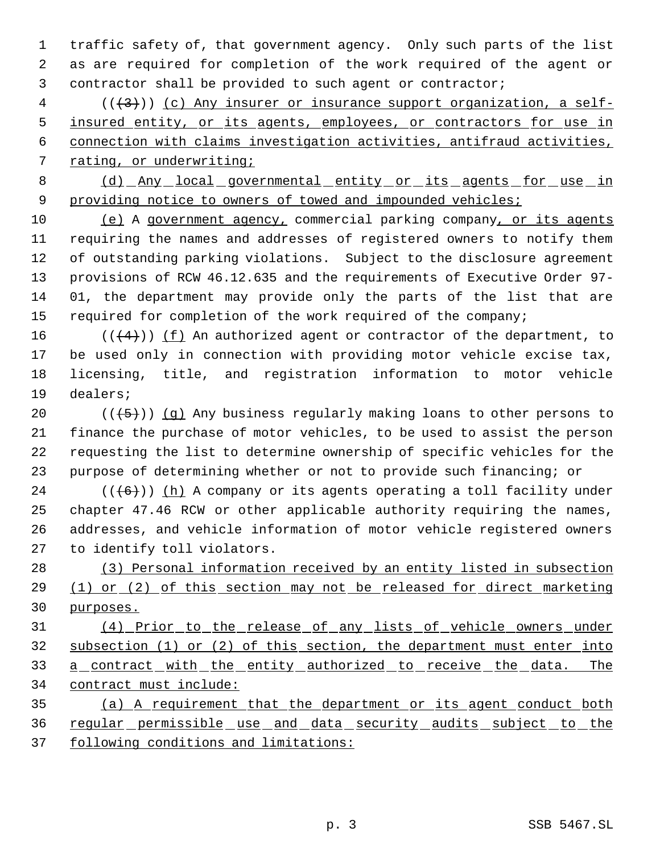traffic safety of, that government agency. Only such parts of the list as are required for completion of the work required of the agent or contractor shall be provided to such agent or contractor;

 ( $(\frac{43}{})$ ) (c) Any insurer or insurance support organization, a self-5 insured entity, or its agents, employees, or contractors for use in connection with claims investigation activities, antifraud activities, rating, or underwriting;

8 (d) Any local governmental entity or its agents for use in 9 providing notice to owners of towed and impounded vehicles;

 (e) A government agency, commercial parking company, or its agents requiring the names and addresses of registered owners to notify them of outstanding parking violations. Subject to the disclosure agreement provisions of RCW 46.12.635 and the requirements of Executive Order 97- 01, the department may provide only the parts of the list that are required for completion of the work required of the company;

16 ( $(\langle 4 \rangle)$ ) <u>(f)</u> An authorized agent or contractor of the department, to be used only in connection with providing motor vehicle excise tax, licensing, title, and registration information to motor vehicle dealers;

 $((+5))$   $(g)$  Any business regularly making loans to other persons to finance the purchase of motor vehicles, to be used to assist the person requesting the list to determine ownership of specific vehicles for the purpose of determining whether or not to provide such financing; or

 (( $(6)$ )) (h) A company or its agents operating a toll facility under chapter 47.46 RCW or other applicable authority requiring the names, addresses, and vehicle information of motor vehicle registered owners to identify toll violators.

 (3) Personal information received by an entity listed in subsection 29 (1) or (2) of this section may not be released for direct marketing purposes.

 (4) Prior to the release of any lists of vehicle owners under subsection (1) or (2) of this section, the department must enter into 33 a contract with the entity authorized to receive the data. The contract must include:

 (a) A requirement that the department or its agent conduct both regular permissible use and data security audits subject to the following conditions and limitations: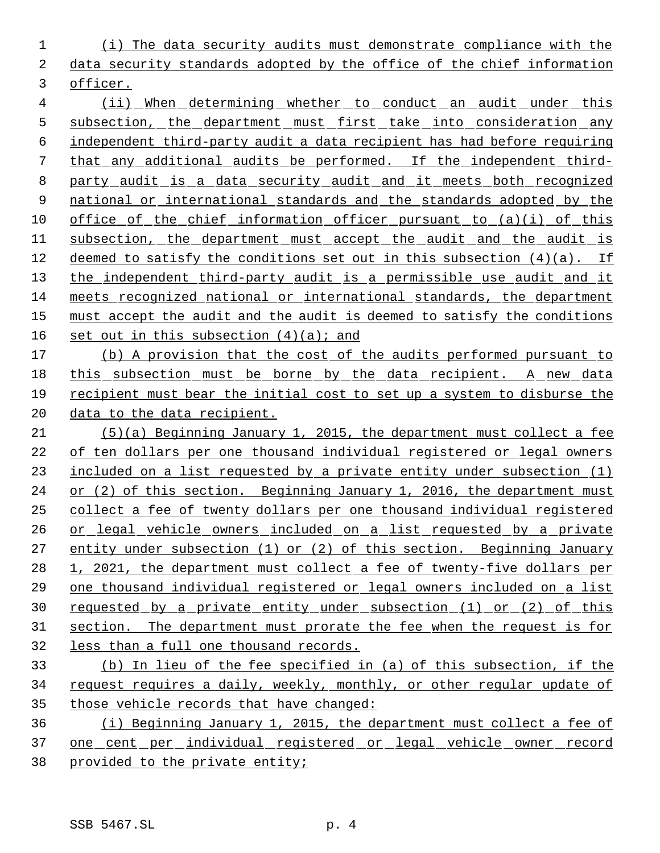(i) The data security audits must demonstrate compliance with the data security standards adopted by the office of the chief information officer.

4 (ii) When determining whether to conduct an audit under this 5 subsection, the department must first take into consideration any independent third-party audit a data recipient has had before requiring that any additional audits be performed. If the independent third- party audit is a data security audit and it meets both recognized 9 national or international standards and the standards adopted by the office of the chief information officer pursuant to (a)(i) of this 11 subsection, the department must accept the audit and the audit is 12 deemed to satisfy the conditions set out in this subsection  $(4)(a)$ . If 13 the independent third-party audit is a permissible use audit and it meets recognized national or international standards, the department must accept the audit and the audit is deemed to satisfy the conditions 16 set out in this subsection  $(4)(a)$ ; and

17 (b) A provision that the cost of the audits performed pursuant to 18 this subsection must be borne by the data recipient. A new data recipient must bear the initial cost to set up a system to disburse the 20 data to the data recipient.

 (5)(a) Beginning January 1, 2015, the department must collect a fee of ten dollars per one thousand individual registered or legal owners included on a list requested by a private entity under subsection (1) 24 or (2) of this section. Beginning January 1, 2016, the department must collect a fee of twenty dollars per one thousand individual registered or legal vehicle owners included on a list requested by a private entity under subsection (1) or (2) of this section. Beginning January 28 1, 2021, the department must collect a fee of twenty-five dollars per one thousand individual registered or legal owners included on a list 30 requested by a private entity under subsection (1) or (2) of this section. The department must prorate the fee when the request is for less than a full one thousand records.

 (b) In lieu of the fee specified in (a) of this subsection, if the request requires a daily, weekly, monthly, or other regular update of those vehicle records that have changed:

 (i) Beginning January 1, 2015, the department must collect a fee of one cent per individual registered or legal vehicle owner record provided to the private entity;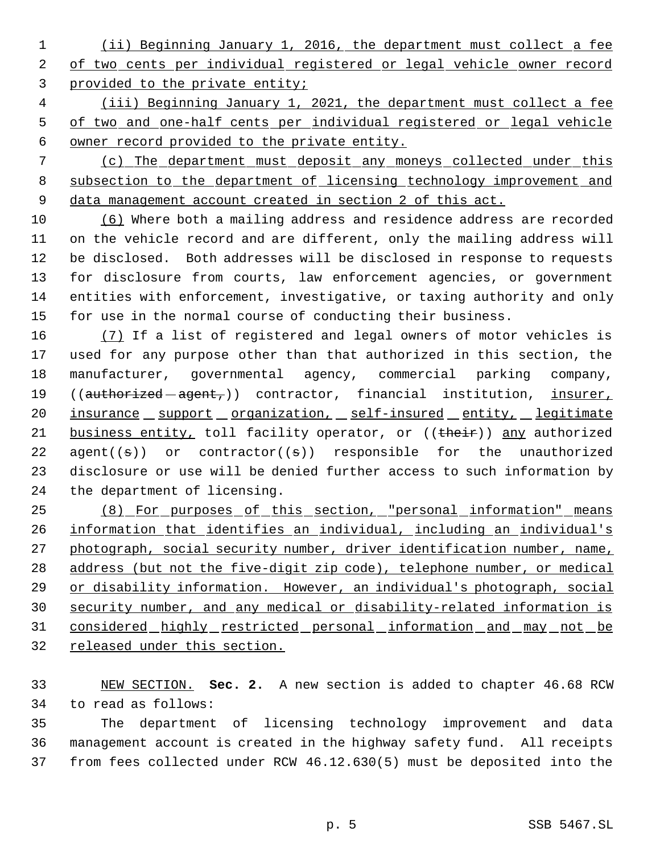(ii) Beginning January 1, 2016, the department must collect a fee 2 of two cents per individual registered or legal vehicle owner record provided to the private entity;

 (iii) Beginning January 1, 2021, the department must collect a fee of two and one-half cents per individual registered or legal vehicle owner record provided to the private entity.

 (c) The department must deposit any moneys collected under this 8 subsection to the department of licensing technology improvement and data management account created in section 2 of this act.

 (6) Where both a mailing address and residence address are recorded on the vehicle record and are different, only the mailing address will be disclosed. Both addresses will be disclosed in response to requests for disclosure from courts, law enforcement agencies, or government entities with enforcement, investigative, or taxing authority and only for use in the normal course of conducting their business.

16 (7) If a list of registered and legal owners of motor vehicles is used for any purpose other than that authorized in this section, the manufacturer, governmental agency, commercial parking company, 19 ((authorized - agent,)) contractor, financial institution, insurer, 20 insurance support organization, self-insured entity, legitimate 21 business entity, toll facility operator, or ((their)) any authorized 22 agent( $(\theta)$ ) or contractor( $(\theta)$ ) responsible for the unauthorized disclosure or use will be denied further access to such information by the department of licensing.

 (8) For purposes of this section, "personal information" means information that identifies an individual, including an individual's 27 photograph, social security number, driver identification number, name, address (but not the five-digit zip code), telephone number, or medical or disability information. However, an individual's photograph, social security number, and any medical or disability-related information is considered highly restricted personal information and may not be released under this section.

 NEW SECTION. **Sec. 2.** A new section is added to chapter 46.68 RCW to read as follows:

 The department of licensing technology improvement and data management account is created in the highway safety fund. All receipts from fees collected under RCW 46.12.630(5) must be deposited into the